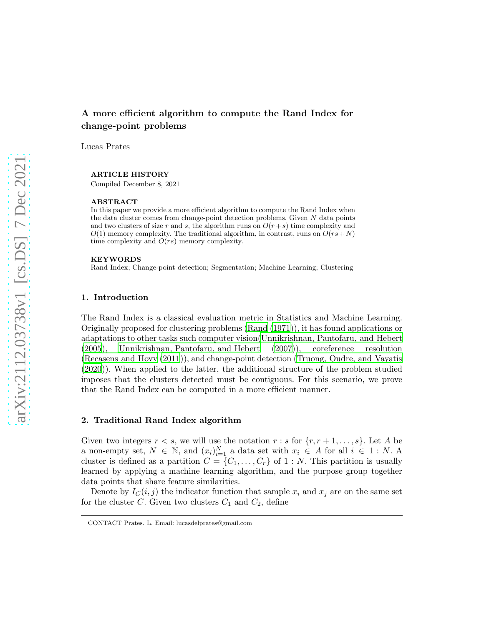# A more efficient algorithm to compute the Rand Index for change-point problems

Lucas Prates

#### ARTICLE HISTORY

Compiled December 8, 2021

#### ABSTRACT

In this paper we provide a more efficient algorithm to compute the Rand Index when the data cluster comes from change-point detection problems. Given N data points and two clusters of size r and s, the algorithm runs on  $O(r+s)$  time complexity and  $O(1)$  memory complexity. The traditional algorithm, in contrast, runs on  $O(rs+N)$ time complexity and  $O(rs)$  memory complexity.

#### KEYWORDS

Rand Index; Change-point detection; Segmentation; Machine Learning; Clustering

#### 1. Introduction

The Rand Index is a classical evaluation metric in Statistics and Machine Learning. Originally proposed for clustering problems [\(Rand \(1971](#page-5-0))), it has found applications or adaptations to other tasks such computer vision[\(Unnikrishnan, Pantofaru, and Hebert](#page-5-1) [\(2005\)](#page-5-1), [Unnikrishnan, Pantofaru, and Hebert \(2007](#page-5-2))), coreference resolution [\(Recasens and Hovy \(2011\)](#page-5-3)), and change-point detection [\(Truong, Oudre, and Vayatis](#page-5-4) [\(2020\)](#page-5-4)). When applied to the latter, the additional structure of the problem studied imposes that the clusters detected must be contiguous. For this scenario, we prove that the Rand Index can be computed in a more efficient manner.

#### 2. Traditional Rand Index algorithm

Given two integers  $r < s$ , we will use the notation  $r : s$  for  $\{r, r+1, \ldots, s\}$ . Let A be a non-empty set,  $N \in \mathbb{N}$ , and  $(x_i)_{i=1}^N$  a data set with  $x_i \in A$  for all  $i \in 1 : N$ . A cluster is defined as a partition  $C = \{C_1, \ldots, C_r\}$  of 1 : N. This partition is usually learned by applying a machine learning algorithm, and the purpose group together data points that share feature similarities.

Denote by  $I_C(i, j)$  the indicator function that sample  $x_i$  and  $x_j$  are on the same set for the cluster C. Given two clusters  $C_1$  and  $C_2$ , define

CONTACT Prates. L. Email: lucasdelprates@gmail.com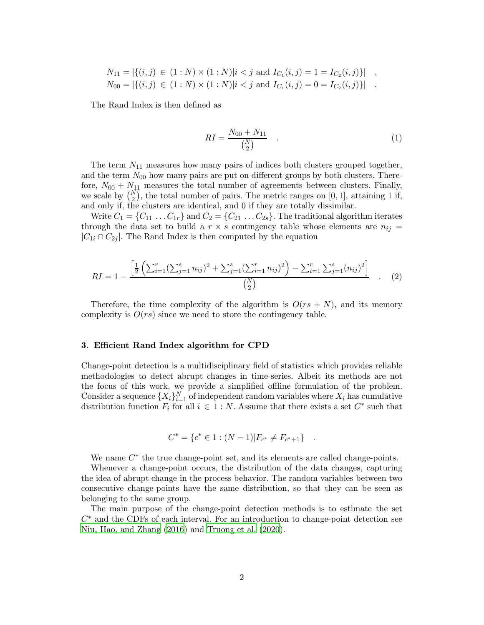$$
N_{11} = |\{(i,j) \in (1:N) \times (1:N)| i < j \text{ and } I_{C_1}(i,j) = 1 = I_{C_2}(i,j)\}|,
$$
  
\n
$$
N_{00} = |\{(i,j) \in (1:N) \times (1:N)| i < j \text{ and } I_{C_1}(i,j) = 0 = I_{C_2}(i,j)\}|.
$$

The Rand Index is then defined as

$$
RI = \frac{N_{00} + N_{11}}{\binom{N}{2}} \tag{1}
$$

The term  $N_{11}$  measures how many pairs of indices both clusters grouped together, and the term  $N_{00}$  how many pairs are put on different groups by both clusters. Therefore,  $N_{00} + N_{11}$  measures the total number of agreements between clusters. Finally, we scale by  $\binom{N}{2}$ , the total number of pairs. The metric ranges on [0, 1], attaining 1 if, and only if, the clusters are identical, and 0 if they are totally dissimilar.

Write  $C_1 = \{C_{11} \ldots C_{1r}\}\$  and  $C_2 = \{C_{21} \ldots C_{2s}\}\$ . The traditional algorithm iterates through the data set to build a  $r \times s$  contingency table whose elements are  $n_{ij} =$  $|C_{1i} \cap C_{2j}|$ . The Rand Index is then computed by the equation

$$
RI = 1 - \frac{\left[\frac{1}{2}\left(\sum_{i=1}^{r}(\sum_{j=1}^{s} n_{ij})^{2} + \sum_{j=1}^{s}(\sum_{i=1}^{r} n_{ij})^{2}\right) - \sum_{i=1}^{r}\sum_{j=1}^{s}(n_{ij})^{2}\right]}{\binom{N}{2}} \quad . \tag{2}
$$

Therefore, the time complexity of the algorithm is  $O(rs + N)$ , and its memory complexity is  $O(rs)$  since we need to store the contingency table.

### 3. Efficient Rand Index algorithm for CPD

Change-point detection is a multidisciplinary field of statistics which provides reliable methodologies to detect abrupt changes in time-series. Albeit its methods are not the focus of this work, we provide a simplified offline formulation of the problem. Consider a sequence  $\{X_i\}_{i=1}^N$  of independent random variables where  $X_i$  has cumulative distribution function  $F_i$  for all  $i \in \{1:N\}$ . Assume that there exists a set  $C^*$  such that

$$
C^* = \{c^* \in 1 : (N-1)|F_{c^*} \neq F_{c^*+1}\} .
$$

We name  $C^*$  the true change-point set, and its elements are called change-points.

Whenever a change-point occurs, the distribution of the data changes, capturing the idea of abrupt change in the process behavior. The random variables between two consecutive change-points have the same distribution, so that they can be seen as belonging to the same group.

The main purpose of the change-point detection methods is to estimate the set  $C^*$  and the CDFs of each interval. For an introduction to change-point detection see [Niu, Hao, and Zhang \(2016](#page-5-5)) and [Truong et al. \(2020\)](#page-5-4).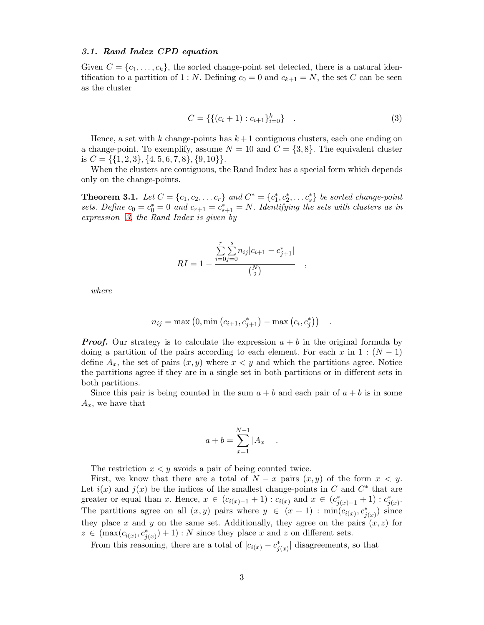## 3.1. Rand Index CPD equation

Given  $C = \{c_1, \ldots, c_k\}$ , the sorted change-point set detected, there is a natural identification to a partition of 1 : N. Defining  $c_0 = 0$  and  $c_{k+1} = N$ , the set C can be seen as the cluster

<span id="page-2-0"></span>
$$
C = \{ \{ (c_i + 1) : c_{i+1} \}_{i=0}^k \} \tag{3}
$$

Hence, a set with k change-points has  $k+1$  contiguous clusters, each one ending on a change-point. To exemplify, assume  $N = 10$  and  $C = \{3, 8\}$ . The equivalent cluster is  $C = \{\{1, 2, 3\}, \{4, 5, 6, 7, 8\}, \{9, 10\}\}.$ 

When the clusters are contiguous, the Rand Index has a special form which depends only on the change-points.

**Theorem 3.1.** Let  $C = \{c_1, c_2, \dots c_r\}$  and  $C^* = \{c_1^*\}$  $\{a_1^*, c_2^*, \ldots c_s^*\}$  be sorted change-point sets. Define  $c_0 = c_0^* = 0$  and  $c_{r+1} = c_{s+1}^* = N$ . Identifying the sets with clusters as in expression [3,](#page-2-0) the Rand Index is given by

$$
RI = 1 - \frac{\sum_{i=0}^{r} \sum_{j=0}^{s} n_{ij} |c_{i+1} - c_{j+1}^{*}|}{\binom{N}{2}},
$$

where

$$
n_{ij} = \max (0, \min (c_{i+1}, c_{j+1}^*) - \max (c_i, c_j^*)) \quad .
$$

**Proof.** Our strategy is to calculate the expression  $a + b$  in the original formula by doing a partition of the pairs according to each element. For each x in 1 :  $(N - 1)$ define  $A_x$ , the set of pairs  $(x, y)$  where  $x < y$  and which the partitions agree. Notice the partitions agree if they are in a single set in both partitions or in different sets in both partitions.

Since this pair is being counted in the sum  $a + b$  and each pair of  $a + b$  is in some  $A_x$ , we have that

$$
a + b = \sum_{x=1}^{N-1} |A_x| .
$$

The restriction  $x \leq y$  avoids a pair of being counted twice.

First, we know that there are a total of  $N - x$  pairs  $(x, y)$  of the form  $x < y$ . Let  $i(x)$  and  $j(x)$  be the indices of the smallest change-points in C and C<sup>\*</sup> that are greater or equal than x. Hence,  $x \in (c_{i(x)-1}+1) : c_{i(x)}$  and  $x \in (c_{j(x)-1}^*+1) : c_j^*$  $_{j(x)}^*$ . The partitions agree on all  $(x, y)$  pairs where  $y \in (x + 1)$ :  $\min(c_{i(x)}, c_{j(x)}^*)$  since they place x and y on the same set. Additionally, they agree on the pairs  $(x, z)$  for  $z \in (\max(c_{i(x)}, c_{j(x)}^*) + 1) : N$  since they place x and z on different sets.

From this reasoning, there are a total of  $|c_{i(x)} - c_i^*|$  $_{j(x)}^*$  disagreements, so that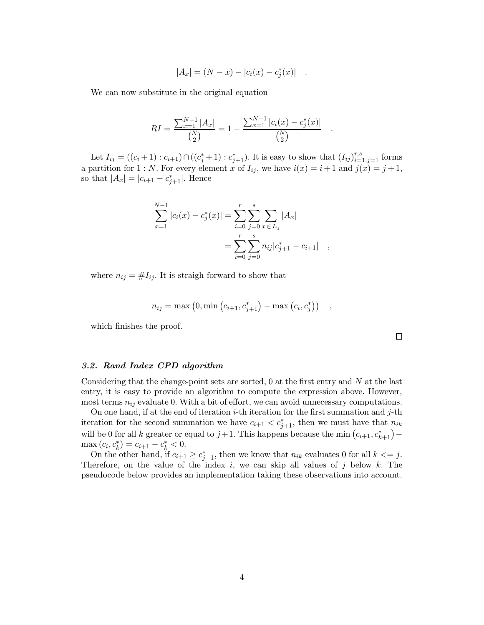$$
|A_x| = (N - x) - |c_i(x) - c_j^*(x)|.
$$

We can now substitute in the original equation

$$
RI = \frac{\sum_{x=1}^{N-1} |A_x|}{\binom{N}{2}} = 1 - \frac{\sum_{x=1}^{N-1} |c_i(x) - c_j^*(x)|}{\binom{N}{2}}.
$$

Let  $I_{ij} = ((c_i + 1) : c_{i+1}) \cap ((c_j^* + 1) : c_{j+1}^*)$ . It is easy to show that  $(I_{ij})_{i=1,j=1}^{r,s}$  forms a partition for 1 : N. For every element x of  $I_{ij}$ , we have  $i(x) = i + 1$  and  $j(x) = j + 1$ , so that  $|A_x| = |c_{i+1} - c_{j+1}^*|$ . Hence

$$
\sum_{x=1}^{N-1} |c_i(x) - c_j^*(x)| = \sum_{i=0}^r \sum_{j=0}^s \sum_{x \in I_{ij}} |A_x|
$$
  
= 
$$
\sum_{i=0}^r \sum_{j=0}^s n_{ij} |c_{j+1}^* - c_{i+1}| ,
$$

where  $n_{ij} = #I_{ij}$ . It is straigh forward to show that

$$
n_{ij} = \max (0, \min (c_{i+1}, c_{j+1}^*) - \max (c_i, c_j^*)) \quad ,
$$

which finishes the proof.

 $\Box$ 

#### 3.2. Rand Index CPD algorithm

Considering that the change-point sets are sorted,  $0$  at the first entry and  $N$  at the last entry, it is easy to provide an algorithm to compute the expression above. However, most terms  $n_{ij}$  evaluate 0. With a bit of effort, we can avoid unnecessary computations.

On one hand, if at the end of iteration  $i$ -th iteration for the first summation and  $j$ -th iteration for the second summation we have  $c_{i+1} < c_{j+1}^*$ , then we must have that  $n_{ik}$ will be 0 for all k greater or equal to  $j+1$ . This happens because the min  $(c_{i+1}, c_{k+1}^*)$  –  $\max(c_i, c_k^*) = c_{i+1} - c_k^* < 0.$ 

On the other hand, if  $c_{i+1} \geq c_{j+1}^*$ , then we know that  $n_{ik}$  evaluates 0 for all  $k \leq j$ . Therefore, on the value of the index i, we can skip all values of j below  $k$ . The pseudocode below provides an implementation taking these observations into account.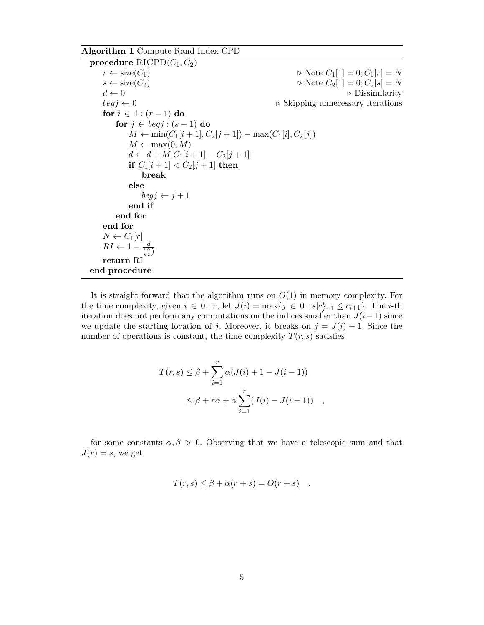Algorithm 1 Compute Rand Index CPD

procedure  $RICPD(C_1, C_2)$  $r \leftarrow \text{size}(C_1)$   $\triangleright \text{Note } C_1[1] = 0; C_1[r] = N$  $s \leftarrow \text{size}(C_2)$   $\triangleright \text{Note } C_2[1] = 0; C_2[s] = N$  $d \leftarrow 0$   $\triangleright$  Dissimilarity  $begj \leftarrow 0$   $\triangleright$  Skipping unnecessary iterations for  $i \in 1$  :  $(r-1)$  do for  $j \in begj : (s-1)$  do  $M \leftarrow \min(C_1[i+1], C_2[j+1]) - \max(C_1[i], C_2[j])$  $M \leftarrow \max(0, M)$  $d \leftarrow d + M|C_1[i + 1] - C_2[j + 1]|$ if  $C_1[i+1] < C_2[j+1]$  then break else  $begj \leftarrow j + 1$ end if end for end for  $N \leftarrow C_1[r]$  $RI \leftarrow 1 - \frac{d}{l}$  $\binom{N}{2}$ return RI end procedure

It is straight forward that the algorithm runs on  $O(1)$  in memory complexity. For the time complexity, given  $i \in 0 : r$ , let  $J(i) = \max\{j \in 0 : s | c_{j+1}^* \leq c_{i+1} \}$ . The *i*-th iteration does not perform any computations on the indices smaller than  $J(i-1)$  since we update the starting location of j. Moreover, it breaks on  $j = J(i) + 1$ . Since the number of operations is constant, the time complexity  $T(r, s)$  satisfies

$$
T(r,s) \leq \beta + \sum_{i=1}^{r} \alpha(J(i) + 1 - J(i-1))
$$
  
 
$$
\leq \beta + r\alpha + \alpha \sum_{i=1}^{r} (J(i) - J(i-1)) ,
$$

for some constants  $\alpha, \beta > 0$ . Observing that we have a telescopic sum and that  $J(r) = s$ , we get

$$
T(r,s) \leq \beta + \alpha(r+s) = O(r+s) .
$$